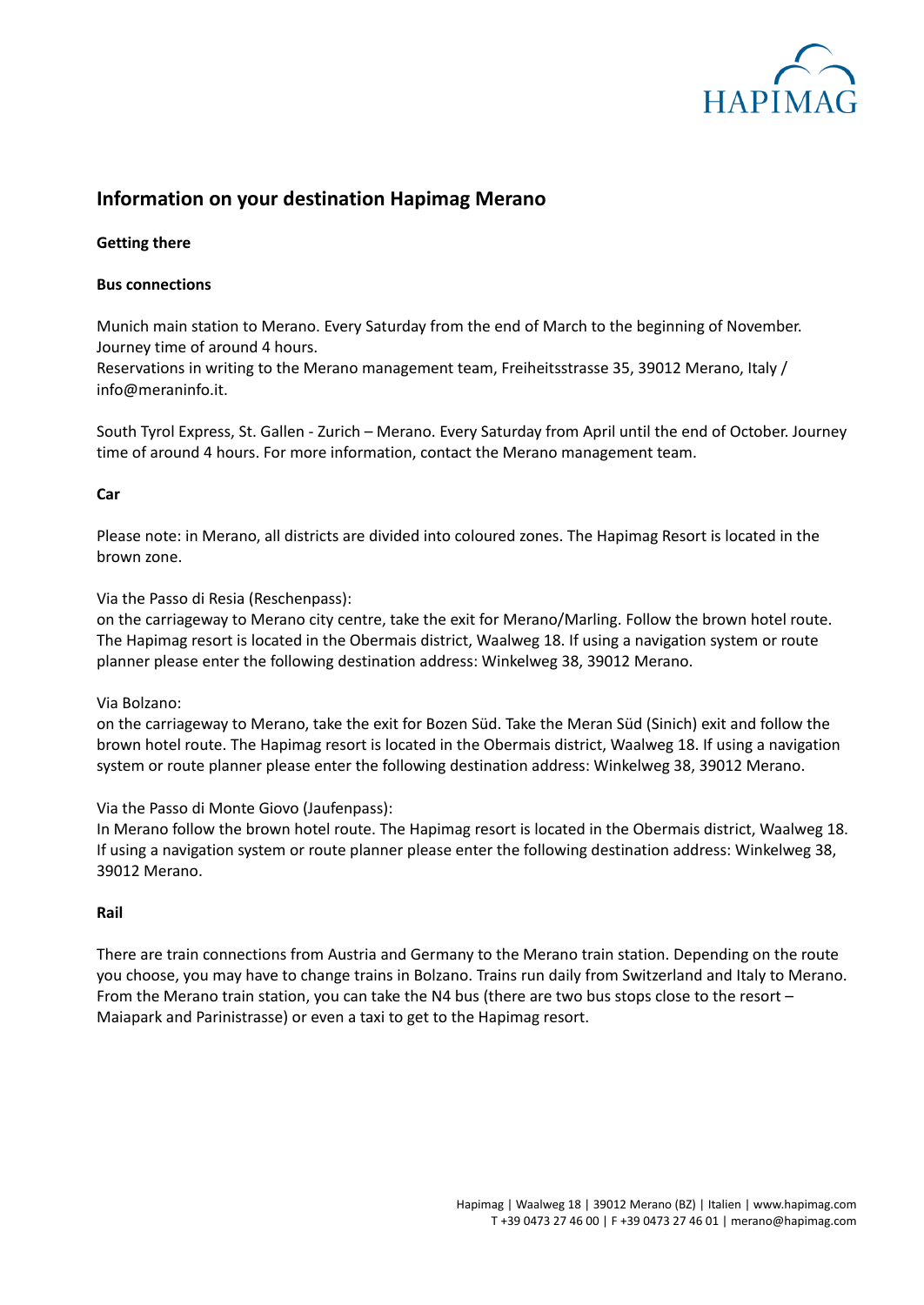

# **Information on your destination Hapimag Merano**

## **Getting there**

## **Bus connections**

Munich main station to Merano. Every Saturday from the end of March to the beginning of November. Journey time of around 4 hours.

Reservations in writing to the Merano management team, Freiheitsstrasse 35, 39012 Merano, Italy / info@meraninfo.it.

South Tyrol Express, St. Gallen - Zurich – Merano. Every Saturday from April until the end of October. Journey time of around 4 hours. For more information, contact the Merano management team.

#### **Car**

Please note: in Merano, all districts are divided into coloured zones. The Hapimag Resort is located in the brown zone.

Via the Passo di Resia (Reschenpass):

on the carriageway to Merano city centre, take the exit for Merano/Marling. Follow the brown hotel route. The Hapimag resort is located in the Obermais district, Waalweg 18. If using a navigation system or route planner please enter the following destination address: Winkelweg 38, 39012 Merano.

Via Bolzano:

on the carriageway to Merano, take the exit for Bozen Süd. Take the Meran Süd (Sinich) exit and follow the brown hotel route. The Hapimag resort is located in the Obermais district, Waalweg 18. If using a navigation system or route planner please enter the following destination address: Winkelweg 38, 39012 Merano.

Via the Passo di Monte Giovo (Jaufenpass):

In Merano follow the brown hotel route. The Hapimag resort is located in the Obermais district, Waalweg 18. If using a navigation system or route planner please enter the following destination address: Winkelweg 38, 39012 Merano.

#### **Rail**

There are train connections from Austria and Germany to the Merano train station. Depending on the route you choose, you may have to change trains in Bolzano. Trains run daily from Switzerland and Italy to Merano. From the Merano train station, you can take the N4 bus (there are two bus stops close to the resort – Maiapark and Parinistrasse) or even a taxi to get to the Hapimag resort.